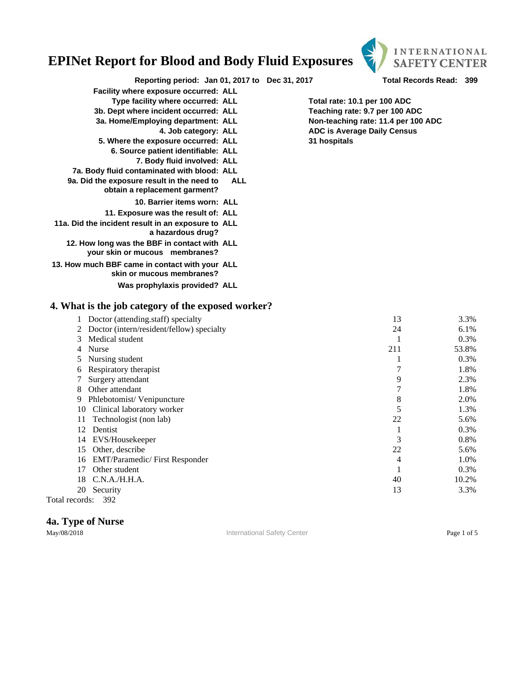

**Reporting period: Jan 01, 2017 to Dec 31, 2017 Total Records Read: 399**

- **Facility where exposure occurred: ALL**
	- **Type facility where occurred: ALL Total rate: 10.1 per 100 ADC**
- **3b. Dept where incident occurred: ALL Teaching rate: 9.7 per 100 ADC**
	- -
- **5. Where the exposure occurred: ALL 31 hospitals**
	- **6. Source patient identifiable: ALL**
		- **7. Body fluid involved: ALL**
- **7a. Body fluid contaminated with blood: ALL**
- **9a. Did the exposure result in the need to ALL obtain a replacement garment?**
	- **10. Barrier items worn: ALL**
	- **11. Exposure was the result of: ALL**
- **11a. Did the incident result in an exposure to ALL a hazardous drug?**
	- **12. How long was the BBF in contact with ALL your skin or mucous membranes?**
- **13. How much BBF came in contact with your ALL skin or mucous membranes?**
	- **Was prophylaxis provided? ALL**

#### **4. What is the job category of the exposed worker?**

|    | Doctor (attending.staff) specialty        | 13  | 3.3%  |
|----|-------------------------------------------|-----|-------|
|    | Doctor (intern/resident/fellow) specialty | 24  | 6.1%  |
| 3. | Medical student                           |     | 0.3%  |
|    | Nurse                                     | 211 | 53.8% |
|    | Nursing student                           |     | 0.3%  |
| 6  | Respiratory therapist                     |     | 1.8%  |
|    | Surgery attendant                         | 9   | 2.3%  |
| 8  | Other attendant                           | 7   | 1.8%  |
| 9  | Phlebotomist/Venipuncture                 | 8   | 2.0%  |
| 10 | Clinical laboratory worker                | 5   | 1.3%  |
| 11 | Technologist (non lab)                    | 22  | 5.6%  |
| 12 | Dentist                                   |     | 0.3%  |
| 14 | EVS/Housekeeper                           | 3   | 0.8%  |
| 15 | Other, describe                           | 22  | 5.6%  |
| 16 | <b>EMT/Paramedic/First Responder</b>      | 4   | 1.0%  |
| 17 | Other student                             | 1   | 0.3%  |
| 18 | C.N.A./H.H.A.                             | 40  | 10.2% |
| 20 | Security                                  | 13  | 3.3%  |
|    | $\Omega$<br>$\mathbf{1}$                  |     |       |

Total records: 392

#### **4a. Type of Nurse**

May/08/2018 **International Safety Center Page 1 of 5** Page 1 of 5

**3a. Home/Employing department: ALL Non-teaching rate: 11.4 per 100 ADC 4. Job category: ALL ADC is Average Daily Census**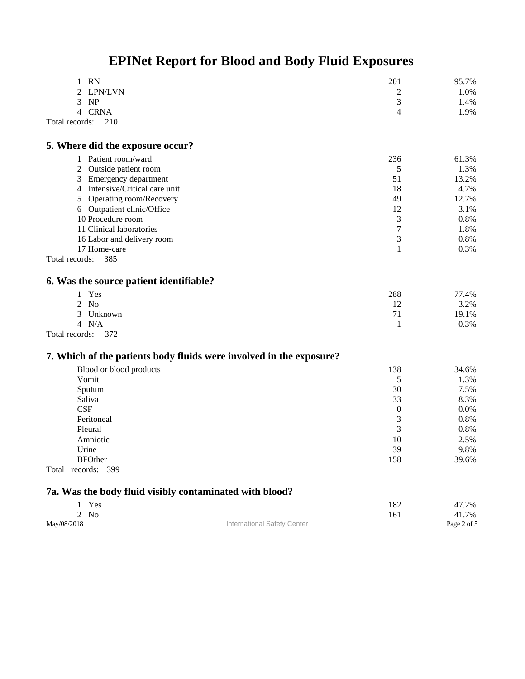| RN                    | 201 | 95.7%  |
|-----------------------|-----|--------|
| 2 LPN/LVN             | -   | 1.0%   |
| 3 NP                  |     | $.4\%$ |
| 4 CRNA                |     | l.9%   |
| Total records:<br>210 |     |        |

#### **5. Where did the exposure occur?**

| 1 Patient room/ward            | 236 | 61.3%   |
|--------------------------------|-----|---------|
| 2 Outside patient room         |     | 1.3%    |
| 3 Emergency department         | 51  | 13.2%   |
| 4 Intensive/Critical care unit | 18  | 4.7%    |
| 5 Operating room/Recovery      | 49  | 12.7%   |
| 6 Outpatient clinic/Office     | 12  | 3.1%    |
| 10 Procedure room              |     | $0.8\%$ |
| 11 Clinical laboratories       |     | 1.8%    |
| 16 Labor and delivery room     |     | $0.8\%$ |
| 17 Home-care                   |     | $0.3\%$ |
| Total records:<br>385          |     |         |

### **6. Was the source patient identifiable?**

| 1 Yes                    | 288 | 77.4% |
|--------------------------|-----|-------|
| $2$ No                   |     | 3.2%  |
| Unknown<br>$\mathcal{R}$ |     | 19.1% |
| 4 N/A                    |     | 0.3%  |
| $t_{0}1$ no conder 270   |     |       |

```
Total records: 372
```
### **7. Which of the patients body fluids were involved in the exposure?**

| Blood or blood products | 138            | 34.6%   |
|-------------------------|----------------|---------|
| Vomit                   |                | 1.3%    |
| Sputum                  | 30             | 7.5%    |
| Saliva                  | 33             | 8.3%    |
| CSF                     | $\overline{0}$ | $0.0\%$ |
| Peritoneal              | 3              | 0.8%    |
| Pleural                 | 3              | 0.8%    |
| Amniotic                | 10             | 2.5%    |
| Urine                   | 39             | 9.8%    |
| <b>BFOther</b>          | 158            | 39.6%   |
| Total<br>records: 399   |                |         |

#### **7a. Was the body fluid visibly contaminated with blood?**

|             | 1 Yes  |                             | 182 | 47.2%       |
|-------------|--------|-----------------------------|-----|-------------|
|             | $2$ No |                             | 161 | 41.7%       |
| May/08/2018 |        | International Safety Center |     | Page 2 of 5 |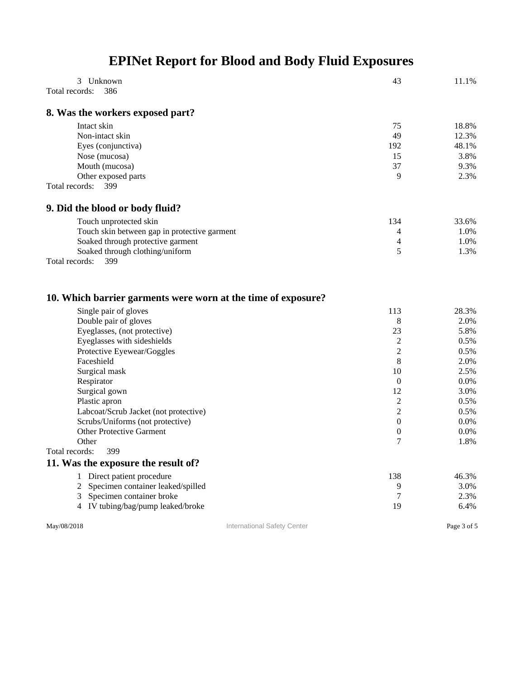| Unknown<br>3<br>386<br>Total records:                                                  | 43                    | 11.1%   |
|----------------------------------------------------------------------------------------|-----------------------|---------|
|                                                                                        |                       |         |
| 8. Was the workers exposed part?                                                       |                       |         |
| Intact skin                                                                            | 75                    | 18.8%   |
| Non-intact skin                                                                        | 49                    | 12.3%   |
| Eyes (conjunctiva)                                                                     | 192                   | 48.1%   |
| Nose (mucosa)                                                                          | 15                    | 3.8%    |
| Mouth (mucosa)                                                                         | 37                    | 9.3%    |
| Other exposed parts                                                                    | 9                     | 2.3%    |
| Total records:<br>399                                                                  |                       |         |
| 9. Did the blood or body fluid?                                                        |                       |         |
| Touch unprotected skin                                                                 | 134                   | 33.6%   |
| Touch skin between gap in protective garment                                           | 4                     | 1.0%    |
| Soaked through protective garment                                                      | 4                     | 1.0%    |
| Soaked through clothing/uniform                                                        | 5                     | 1.3%    |
| Total records:<br>399                                                                  |                       |         |
| 10. Which barrier garments were worn at the time of exposure?<br>Single pair of gloves | 113                   | 28.3%   |
| Double pair of gloves                                                                  | 8                     | 2.0%    |
| Eyeglasses, (not protective)                                                           | 23                    | 5.8%    |
| Eyeglasses with sideshields                                                            | 2                     | 0.5%    |
| Protective Eyewear/Goggles                                                             | 2                     | 0.5%    |
| Faceshield                                                                             | 8                     | 2.0%    |
| Surgical mask                                                                          | 10                    | 2.5%    |
| Respirator                                                                             | $\overline{0}$        | $0.0\%$ |
| Surgical gown                                                                          | 12                    | 3.0%    |
| Plastic apron                                                                          | 2                     | 0.5%    |
| Labcoat/Scrub Jacket (not protective)                                                  | $\overline{c}$        | 0.5%    |
| Scrubs/Uniforms (not protective)                                                       | $\boldsymbol{0}$      | 0.0%    |
| <b>Other Protective Garment</b>                                                        | $\boldsymbol{0}$<br>7 | $0.0\%$ |
| Other<br>Total records: 399                                                            |                       | 1.8%    |
| 11. Was the exposure the result of?                                                    |                       |         |
| Direct patient procedure<br>1                                                          | 138                   | 46.3%   |
| Specimen container leaked/spilled<br>2                                                 | 9                     | 3.0%    |
| Specimen container broke<br>3                                                          | 7                     | 2.3%    |
| 4 IV tubing/bag/pump leaked/broke                                                      | 19                    | 6.4%    |
|                                                                                        |                       |         |

May/08/2018 **International Safety Center** Page 3 of 5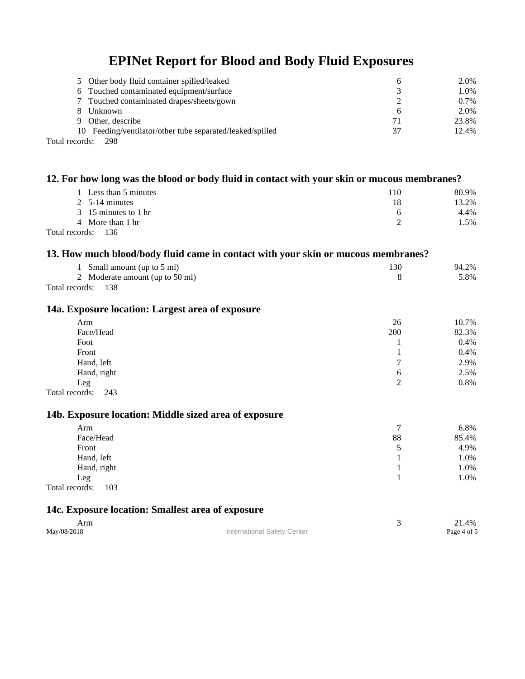| 5 Other body fluid container spilled/leaked               | h            | 2.0%    |
|-----------------------------------------------------------|--------------|---------|
| 6 Touched contaminated equipment/surface                  | 3            | 1.0%    |
| 7 Touched contaminated drapes/sheets/gown                 |              | $0.7\%$ |
| Unknown                                                   | <sub>0</sub> | 2.0%    |
| 9 Other, describe                                         |              | 23.8%   |
| 10 Feeding/ventilator/other tube separated/leaked/spilled | 37           | 12.4%   |
| $\sim$ $\sim$ $\sim$ $\sim$                               |              |         |

Total records: 298

|                                                                                                                                                                                                                                                                                                                                                                                                                                                                                                                                                                                                                                                                                                                                                                                                                 |                             |                | 80.9%       |
|-----------------------------------------------------------------------------------------------------------------------------------------------------------------------------------------------------------------------------------------------------------------------------------------------------------------------------------------------------------------------------------------------------------------------------------------------------------------------------------------------------------------------------------------------------------------------------------------------------------------------------------------------------------------------------------------------------------------------------------------------------------------------------------------------------------------|-----------------------------|----------------|-------------|
| 2 5-14 minutes                                                                                                                                                                                                                                                                                                                                                                                                                                                                                                                                                                                                                                                                                                                                                                                                  |                             | 18             | 13.2%       |
| 15 minutes to 1 hr<br>3                                                                                                                                                                                                                                                                                                                                                                                                                                                                                                                                                                                                                                                                                                                                                                                         |                             | 6              | 4.4%        |
| More than 1 hr<br>4                                                                                                                                                                                                                                                                                                                                                                                                                                                                                                                                                                                                                                                                                                                                                                                             |                             | $\overline{2}$ | 1.5%        |
| 12. For how long was the blood or body fluid in contact with your skin or mucous membranes?<br>1 Less than 5 minutes<br>110<br>136<br>Total records:<br>13. How much blood/body fluid came in contact with your skin or mucous membranes?<br>130<br>1 Small amount (up to 5 ml)<br>Moderate amount (up to 50 ml)<br>8<br>2<br>Total records:<br>138<br>14a. Exposure location: Largest area of exposure<br>26<br>Arm<br>Face/Head<br>200<br>Foot<br>1<br>Front<br>1<br>Hand, left<br>7<br>Hand, right<br>6<br>$\overline{2}$<br>Leg<br>Total records:<br>243<br>14b. Exposure location: Middle sized area of exposure<br>Arm<br>7<br>Face/Head<br>88<br>Front<br>5<br>Hand, left<br>1<br>Hand, right<br>1<br>1<br>Leg<br>Total records:<br>103<br>14c. Exposure location: Smallest area of exposure<br>3<br>Arm |                             |                |             |
|                                                                                                                                                                                                                                                                                                                                                                                                                                                                                                                                                                                                                                                                                                                                                                                                                 |                             |                |             |
|                                                                                                                                                                                                                                                                                                                                                                                                                                                                                                                                                                                                                                                                                                                                                                                                                 |                             |                | 94.2%       |
|                                                                                                                                                                                                                                                                                                                                                                                                                                                                                                                                                                                                                                                                                                                                                                                                                 |                             |                | 5.8%        |
|                                                                                                                                                                                                                                                                                                                                                                                                                                                                                                                                                                                                                                                                                                                                                                                                                 |                             |                |             |
|                                                                                                                                                                                                                                                                                                                                                                                                                                                                                                                                                                                                                                                                                                                                                                                                                 |                             |                |             |
|                                                                                                                                                                                                                                                                                                                                                                                                                                                                                                                                                                                                                                                                                                                                                                                                                 |                             |                | 10.7%       |
|                                                                                                                                                                                                                                                                                                                                                                                                                                                                                                                                                                                                                                                                                                                                                                                                                 |                             |                | 82.3%       |
|                                                                                                                                                                                                                                                                                                                                                                                                                                                                                                                                                                                                                                                                                                                                                                                                                 |                             |                | 0.4%        |
|                                                                                                                                                                                                                                                                                                                                                                                                                                                                                                                                                                                                                                                                                                                                                                                                                 |                             |                | 0.4%        |
|                                                                                                                                                                                                                                                                                                                                                                                                                                                                                                                                                                                                                                                                                                                                                                                                                 |                             |                | 2.9%        |
|                                                                                                                                                                                                                                                                                                                                                                                                                                                                                                                                                                                                                                                                                                                                                                                                                 |                             |                | 2.5%        |
|                                                                                                                                                                                                                                                                                                                                                                                                                                                                                                                                                                                                                                                                                                                                                                                                                 |                             |                | 0.8%        |
|                                                                                                                                                                                                                                                                                                                                                                                                                                                                                                                                                                                                                                                                                                                                                                                                                 |                             |                |             |
|                                                                                                                                                                                                                                                                                                                                                                                                                                                                                                                                                                                                                                                                                                                                                                                                                 |                             |                |             |
|                                                                                                                                                                                                                                                                                                                                                                                                                                                                                                                                                                                                                                                                                                                                                                                                                 |                             |                | 6.8%        |
|                                                                                                                                                                                                                                                                                                                                                                                                                                                                                                                                                                                                                                                                                                                                                                                                                 |                             |                | 85.4%       |
|                                                                                                                                                                                                                                                                                                                                                                                                                                                                                                                                                                                                                                                                                                                                                                                                                 |                             |                | 4.9%        |
|                                                                                                                                                                                                                                                                                                                                                                                                                                                                                                                                                                                                                                                                                                                                                                                                                 |                             |                | 1.0%        |
|                                                                                                                                                                                                                                                                                                                                                                                                                                                                                                                                                                                                                                                                                                                                                                                                                 |                             |                | 1.0%        |
|                                                                                                                                                                                                                                                                                                                                                                                                                                                                                                                                                                                                                                                                                                                                                                                                                 |                             |                | 1.0%        |
|                                                                                                                                                                                                                                                                                                                                                                                                                                                                                                                                                                                                                                                                                                                                                                                                                 |                             |                |             |
|                                                                                                                                                                                                                                                                                                                                                                                                                                                                                                                                                                                                                                                                                                                                                                                                                 |                             |                |             |
|                                                                                                                                                                                                                                                                                                                                                                                                                                                                                                                                                                                                                                                                                                                                                                                                                 |                             |                | 21.4%       |
| May/08/2018                                                                                                                                                                                                                                                                                                                                                                                                                                                                                                                                                                                                                                                                                                                                                                                                     | International Safety Center |                | Page 4 of 5 |